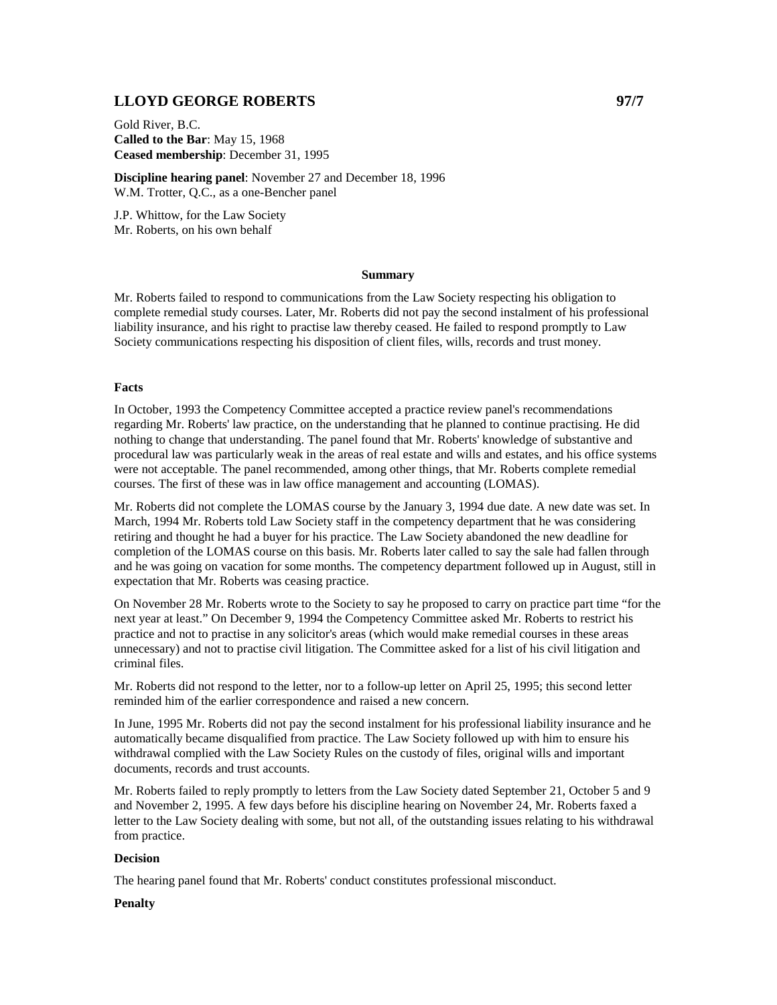# **LLOYD GEORGE ROBERTS 97/7**

Gold River, B.C. **Called to the Bar**: May 15, 1968 **Ceased membership**: December 31, 1995

**Discipline hearing panel**: November 27 and December 18, 1996 W.M. Trotter, Q.C., as a one-Bencher panel

J.P. Whittow, for the Law Society Mr. Roberts, on his own behalf

#### **Summary**

Mr. Roberts failed to respond to communications from the Law Society respecting his obligation to complete remedial study courses. Later, Mr. Roberts did not pay the second instalment of his professional liability insurance, and his right to practise law thereby ceased. He failed to respond promptly to Law Society communications respecting his disposition of client files, wills, records and trust money.

## **Facts**

In October, 1993 the Competency Committee accepted a practice review panel's recommendations regarding Mr. Roberts' law practice, on the understanding that he planned to continue practising. He did nothing to change that understanding. The panel found that Mr. Roberts' knowledge of substantive and procedural law was particularly weak in the areas of real estate and wills and estates, and his office systems were not acceptable. The panel recommended, among other things, that Mr. Roberts complete remedial courses. The first of these was in law office management and accounting (LOMAS).

Mr. Roberts did not complete the LOMAS course by the January 3, 1994 due date. A new date was set. In March, 1994 Mr. Roberts told Law Society staff in the competency department that he was considering retiring and thought he had a buyer for his practice. The Law Society abandoned the new deadline for completion of the LOMAS course on this basis. Mr. Roberts later called to say the sale had fallen through and he was going on vacation for some months. The competency department followed up in August, still in expectation that Mr. Roberts was ceasing practice.

On November 28 Mr. Roberts wrote to the Society to say he proposed to carry on practice part time "for the next year at least." On December 9, 1994 the Competency Committee asked Mr. Roberts to restrict his practice and not to practise in any solicitor's areas (which would make remedial courses in these areas unnecessary) and not to practise civil litigation. The Committee asked for a list of his civil litigation and criminal files.

Mr. Roberts did not respond to the letter, nor to a follow-up letter on April 25, 1995; this second letter reminded him of the earlier correspondence and raised a new concern.

In June, 1995 Mr. Roberts did not pay the second instalment for his professional liability insurance and he automatically became disqualified from practice. The Law Society followed up with him to ensure his withdrawal complied with the Law Society Rules on the custody of files, original wills and important documents, records and trust accounts.

Mr. Roberts failed to reply promptly to letters from the Law Society dated September 21, October 5 and 9 and November 2, 1995. A few days before his discipline hearing on November 24, Mr. Roberts faxed a letter to the Law Society dealing with some, but not all, of the outstanding issues relating to his withdrawal from practice.

## **Decision**

The hearing panel found that Mr. Roberts' conduct constitutes professional misconduct.

## **Penalty**